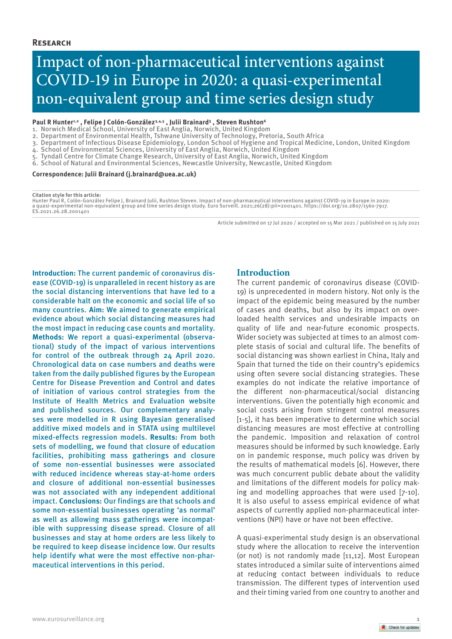## **Research**

# Impact of non-pharmaceutical interventions against COVID-19 in Europe in 2020: a quasi-experimental non-equivalent group and time series design study

## Paul R Hunter<sup>1,2</sup>, Felipe J Colón-González<sup>3,4,5</sup>, Julii Brainard<sup>1</sup>, Steven Rushton<sup>6</sup>

- 1. Norwich Medical School, University of East Anglia, Norwich, United Kingdom
- 2. Department of Environmental Health, Tshwane University of Technology, Pretoria, South Africa
- 3. Department of Infectious Disease Epidemiology, London School of Hygiene and Tropical Medicine, London, United Kingdom
- 4. School of Environmental Sciences, University of East Anglia, Norwich, United Kingdom
- 5. Tyndall Centre for Climate Change Research, University of East Anglia, Norwich, United Kingdom
- 6. School of Natural and Environmental Sciences, Newcastle University, Newcastle, United Kingdom

#### **Correspondence: Julii Brainard (j.brainard@uea.ac.uk)**

#### **Citation style for this article:**

Hunter Paul R, Colón-González Felipe J, Brainard Julii, Rushton Steven. Impact of non-pharmaceutical interventions against COVID-19 in Europe in 2020:<br>a quasi-experimental non-equivalent group and time series design study. ES.2021.26.28.2001401

Article submitted on 17 Jul 2020 / accepted on 15 Mar 2021 / published on 15 July 2021

**Introduction:** The current pandemic of coronavirus disease (COVID-19) is unparalleled in recent history as are the social distancing interventions that have led to a considerable halt on the economic and social life of so many countries. **Aim:** We aimed to generate empirical evidence about which social distancing measures had the most impact in reducing case counts and mortality. **Methods:** We report a quasi-experimental (observational) study of the impact of various interventions for control of the outbreak through 24 April 2020. Chronological data on case numbers and deaths were taken from the daily published figures by the European Centre for Disease Prevention and Control and dates of initiation of various control strategies from the Institute of Health Metrics and Evaluation website and published sources. Our complementary analyses were modelled in R using Bayesian generalised additive mixed models and in STATA using multilevel mixed-effects regression models. **Results:** From both sets of modelling, we found that closure of education facilities, prohibiting mass gatherings and closure of some non-essential businesses were associated with reduced incidence whereas stay-at-home orders and closure of additional non-essential businesses was not associated with any independent additional impact. **Conclusions:** Our findings are that schools and some non-essential businesses operating 'as normal' as well as allowing mass gatherings were incompatible with suppressing disease spread. Closure of all businesses and stay at home orders are less likely to be required to keep disease incidence low. Our results help identify what were the most effective non-pharmaceutical interventions in this period.

## **Introduction**

The current pandemic of coronavirus disease (COVID-19) is unprecedented in modern history. Not only is the impact of the epidemic being measured by the number of cases and deaths, but also by its impact on overloaded health services and undesirable impacts on quality of life and near-future economic prospects. Wider society was subjected at times to an almost complete stasis of social and cultural life. The benefits of social distancing was shown earliest in China, Italy and Spain that turned the tide on their country's epidemics using often severe social distancing strategies. These examples do not indicate the relative importance of the different non-pharmaceutical/social distancing interventions. Given the potentially high economic and social costs arising from stringent control measures [1-5], it has been imperative to determine which social distancing measures are most effective at controlling the pandemic. Imposition and relaxation of control measures should be informed by such knowledge. Early on in pandemic response, much policy was driven by the results of mathematical models [6]. However, there was much concurrent public debate about the validity and limitations of the different models for policy making and modelling approaches that were used [7-10]. It is also useful to assess empirical evidence of what aspects of currently applied non-pharmaceutical interventions (NPI) have or have not been effective.

A quasi-experimental study design is an observational study where the allocation to receive the intervention (or not) is not randomly made [11,12]. Most European states introduced a similar suite of interventions aimed at reducing contact between individuals to reduce transmission. The different types of intervention used and their timing varied from one country to another and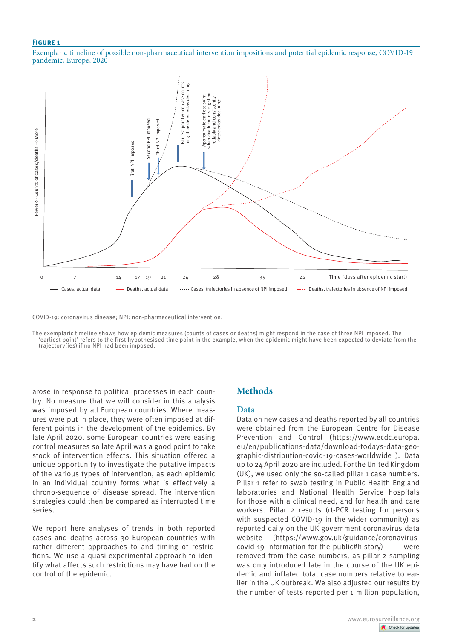Exemplaric timeline of possible non-pharmaceutical intervention impositions and potential epidemic response, COVID-19 pandemic, Europe, 2020



COVID-19: coronavirus disease; NPI: non-pharmaceutical intervention.

The exemplaric timeline shows how epidemic measures (counts of cases or deaths) might respond in the case of three NPI imposed. The 'earliest point' refers to the first hypothesised time point in the example, when the epidemic might have been expected to deviate from the trajectory(ies) if no NPI had been imposed.

arose in response to political processes in each country. No measure that we will consider in this analysis was imposed by all European countries. Where measures were put in place, they were often imposed at different points in the development of the epidemics. By late April 2020, some European countries were easing control measures so late April was a good point to take stock of intervention effects. This situation offered a unique opportunity to investigate the putative impacts of the various types of intervention, as each epidemic in an individual country forms what is effectively a chrono-sequence of disease spread. The intervention strategies could then be compared as interrupted time series.

We report here analyses of trends in both reported cases and deaths across 30 European countries with rather different approaches to and timing of restrictions. We use a quasi-experimental approach to identify what affects such restrictions may have had on the control of the epidemic.

# **Methods**

## **Data**

Data on new cases and deaths reported by all countries were obtained from the European Centre for Disease Prevention and Control (https://www.ecdc.europa. eu/en/publications-data/download-todays-data-geographic-distribution-covid-19-cases-worldwide ). Data up to 24 April 2020 are included. For the United Kingdom (UK), we used only the so-called pillar 1 case numbers. Pillar 1 refer to swab testing in Public Health England laboratories and National Health Service hospitals for those with a clinical need, and for health and care workers. Pillar 2 results (rt-PCR testing for persons with suspected COVID-19 in the wider community) as reported daily on the UK government coronavirus data website (https://www.gov.uk/guidance/coronaviruscovid-19-information-for-the-public#history) were removed from the case numbers, as pillar 2 sampling was only introduced late in the course of the UK epidemic and inflated total case numbers relative to earlier in the UK outbreak. We also adjusted our results by the number of tests reported per 1 million population,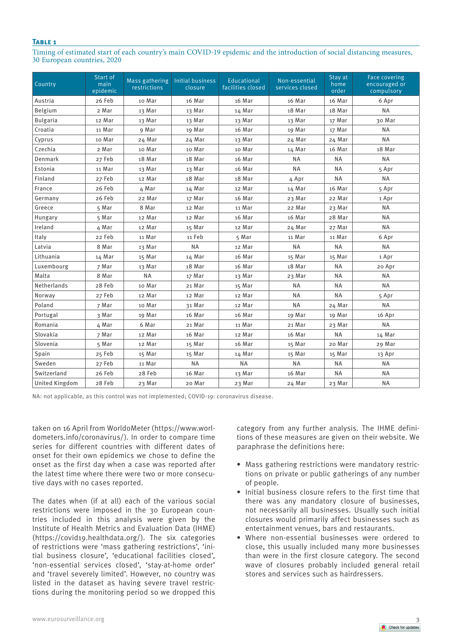Timing of estimated start of each country's main COVID-19 epidemic and the introduction of social distancing measures, 30 European countries, 2020

| Country               | Start of<br>main<br>epidemic | Mass gathering<br>restrictions | <b>Initial business</b><br>closure | Educational<br>facilities closed | Non-essential<br>services closed | Stay at<br>home<br>order | <b>Face covering</b><br>encouraged or<br>compulsory |
|-----------------------|------------------------------|--------------------------------|------------------------------------|----------------------------------|----------------------------------|--------------------------|-----------------------------------------------------|
| Austria               | 26 Feb                       | 10 Mar                         | 16 Mar                             | 16 Mar                           | 16 Mar                           | 16 Mar                   | 6 Apr                                               |
| Belgium               | 2 Mar                        | 13 Mar                         | 13 Mar                             | 14 Mar                           | 18 Mar                           | 18 Mar                   | <b>NA</b>                                           |
| <b>Bulgaria</b>       | 12 Mar                       | 13 Mar                         | 13 Mar                             | 13 Mar                           | 13 Mar                           | 17 Mar                   | 30 Mar                                              |
| Croatia               | 11 Mar                       | 9 Mar                          | 19 Mar                             | 16 Mar                           | 19 Mar                           | 17 Mar                   | <b>NA</b>                                           |
| Cyprus                | 10 Mar                       | 24 Mar                         | 24 Mar                             | 13 Mar                           | 24 Mar                           | 24 Mar                   | <b>NA</b>                                           |
| Czechia               | 2 Mar                        | 10 Mar                         | 10 Mar                             | 10 Mar                           | 14 Mar                           | 16 Mar                   | 18 Mar                                              |
| Denmark               | 27 Feb                       | 18 Mar                         | 18 Mar                             | 16 Mar                           | <b>NA</b>                        | <b>NA</b>                | <b>NA</b>                                           |
| Estonia               | 11 Mar                       | 13 Mar                         | 13 Mar                             | 16 Mar                           | <b>NA</b>                        | <b>NA</b>                | 5 Apr                                               |
| Finland               | 27 Feb                       | 12 Mar                         | 18 Mar                             | 18 Mar                           | 4 Apr                            | <b>NA</b>                | <b>NA</b>                                           |
| France                | 26 Feb                       | 4 Mar                          | 14 Mar                             | 12 Mar                           | 14 Mar                           | 16 Mar                   | 5 Apr                                               |
| Germany               | 26 Feb                       | 22 Mar                         | 17 Mar                             | 16 Mar                           | 23 Mar                           | 22 Mar                   | 1 Apr                                               |
| Greece                | 5 Mar                        | 8 Mar                          | 12 Mar                             | 11 Mar                           | 22 Mar                           | 23 Mar                   | <b>NA</b>                                           |
| Hungary               | 5 Mar                        | 12 Mar                         | 12 Mar                             | 16 Mar                           | 16 Mar                           | 28 Mar                   | <b>NA</b>                                           |
| Ireland               | 4 Mar                        | 12 Mar                         | 15 Mar                             | 12 Mar                           | 24 Mar                           | 27 Mar                   | <b>NA</b>                                           |
| Italy                 | 22 Feb                       | 11 Mar                         | 11 Feb                             | 5 Mar                            | 11 Mar                           | 11 Mar                   | 6 Apr                                               |
| Latvia                | 8 Mar                        | 13 Mar                         | <b>NA</b>                          | 12 Mar                           | <b>NA</b>                        | <b>NA</b>                | <b>NA</b>                                           |
| Lithuania             | 14 Mar                       | 15 Mar                         | 14 Mar                             | 16 Mar                           | 15 Mar                           | 15 Mar                   | 1 Apr                                               |
| Luxembourg            | 7 Mar                        | 13 Mar                         | 18 Mar                             | 16 Mar                           | 18 Mar                           | <b>NA</b>                | 20 Apr                                              |
| Malta                 | 8 Mar                        | <b>NA</b>                      | 17 Mar                             | 13 Mar                           | 23 Mar                           | <b>NA</b>                | <b>NA</b>                                           |
| Netherlands           | 28 Feb                       | 10 Mar                         | 21 Mar                             | 15 Mar                           | <b>NA</b>                        | <b>NA</b>                | <b>NA</b>                                           |
| Norway                | 27 Feb                       | 12 Mar                         | 12 Mar                             | 12 Mar                           | <b>NA</b>                        | <b>NA</b>                | 5 Apr                                               |
| Poland                | 7 Mar                        | 10 Mar                         | 31 Mar                             | 12 Mar                           | <b>NA</b>                        | 24 Mar                   | <b>NA</b>                                           |
| Portugal              | 3 Mar                        | 19 Mar                         | 16 Mar                             | 16 Mar                           | 19 Mar                           | 19 Mar                   | 16 Apr                                              |
| Romania               | 4 Mar                        | 6 Mar                          | 21 Mar                             | 11 Mar                           | 21 Mar                           | 23 Mar                   | <b>NA</b>                                           |
| Slovakia              | 7 Mar                        | 12 Mar                         | 16 Mar                             | 12 Mar                           | 16 Mar                           | <b>NA</b>                | 14 Mar                                              |
| Slovenia              | 5 Mar                        | 12 Mar                         | 15 Mar                             | 16 Mar                           | 15 Mar                           | 20 Mar                   | 29 Mar                                              |
| Spain                 | 25 Feb                       | 15 Mar                         | 15 Mar                             | 14 Mar                           | 15 Mar                           | 15 Mar                   | 13 Apr                                              |
| Sweden                | 27 Feb                       | 11 Mar                         | <b>NA</b>                          | <b>NA</b>                        | <b>NA</b>                        | <b>NA</b>                | <b>NA</b>                                           |
| Switzerland           | 26 Feb                       | 28 Feb                         | 16 Mar                             | 13 Mar                           | 16 Mar                           | <b>NA</b>                | <b>NA</b>                                           |
| <b>United Kingdom</b> | 28 Feb                       | 23 Mar                         | 20 Mar                             | 23 Mar                           | 24 Mar                           | 23 Mar                   | <b>NA</b>                                           |

NA: not applicable, as this control was not implemented; COVID-19: coronavirus disease.

taken on 16 April from WorldoMeter (https://www.worldometers.info/coronavirus/). In order to compare time series for different countries with different dates of onset for their own epidemics we chose to define the onset as the first day when a case was reported after the latest time where there were two or more consecutive days with no cases reported.

The dates when (if at all) each of the various social restrictions were imposed in the 30 European countries included in this analysis were given by the Institute of Health Metrics and Evaluation Data (IHME) (https://covid19.healthdata.org/). The six categories of restrictions were 'mass gathering restrictions', 'initial business closure', 'educational facilities closed', 'non-essential services closed', 'stay-at-home order' and 'travel severely limited'. However, no country was listed in the dataset as having severe travel restrictions during the monitoring period so we dropped this category from any further analysis. The IHME definitions of these measures are given on their website. We paraphrase the definitions here:

- Mass gathering restrictions were mandatory restrictions on private or public gatherings of any number of people.
- Initial business closure refers to the first time that there was any mandatory closure of businesses, not necessarily all businesses. Usually such initial closures would primarily affect businesses such as entertainment venues, bars and restaurants.
- Where non-essential businesses were ordered to close, this usually included many more businesses than were in the first closure category. The second wave of closures probably included general retail stores and services such as hairdressers.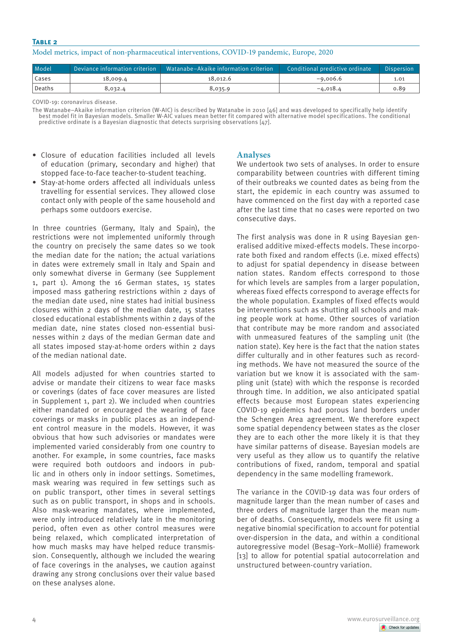## Model metrics, impact of non-pharmaceutical interventions, COVID-19 pandemic, Europe, 2020

| Model    |          | Deviance information criterion   Watanabe-Akaike information criterion | Conditional predictive ordinate | Dispersion |
|----------|----------|------------------------------------------------------------------------|---------------------------------|------------|
| Cases    | 18,009.4 | 18.012.6                                                               | $-9,006.6$                      | 1.01       |
| l Deaths | 8,032.4  | 8,035.9                                                                | $-4,018.4$                      | 0.89       |

COVID-19: coronavirus disease.

The Watanabe–Akaike information criterion (W-AIC) is described by Watanabe in 2010 [46] and was developed to specifically help identify best model fit in Bayesian models. Smaller W-AIC values mean better fit compared with alternative model specifications. The conditional predictive ordinate is a Bayesian diagnostic that detects surprising observations [47].

- Closure of education facilities included all levels of education (primary, secondary and higher) that stopped face-to-face teacher-to-student teaching.
- Stay-at-home orders affected all individuals unless travelling for essential services. They allowed close contact only with people of the same household and perhaps some outdoors exercise.

In three countries (Germany, Italy and Spain), the restrictions were not implemented uniformly through the country on precisely the same dates so we took the median date for the nation; the actual variations in dates were extremely small in Italy and Spain and only somewhat diverse in Germany (see Supplement 1, part 1). Among the 16 German states, 15 states imposed mass gathering restrictions within 2 days of the median date used, nine states had initial business closures within 2 days of the median date, 15 states closed educational establishments within 2 days of the median date, nine states closed non-essential businesses within 2 days of the median German date and all states imposed stay-at-home orders within 2 days of the median national date.

All models adjusted for when countries started to advise or mandate their citizens to wear face masks or coverings (dates of face cover measures are listed in Supplement 1, part 2). We included when countries either mandated or encouraged the wearing of face coverings or masks in public places as an independent control measure in the models. However, it was obvious that how such advisories or mandates were implemented varied considerably from one country to another. For example, in some countries, face masks were required both outdoors and indoors in public and in others only in indoor settings. Sometimes, mask wearing was required in few settings such as on public transport, other times in several settings such as on public transport, in shops and in schools. Also mask-wearing mandates, where implemented, were only introduced relatively late in the monitoring period, often even as other control measures were being relaxed, which complicated interpretation of how much masks may have helped reduce transmission. Consequently, although we included the wearing of face coverings in the analyses, we caution against drawing any strong conclusions over their value based on these analyses alone.

## **Analyses**

We undertook two sets of analyses. In order to ensure comparability between countries with different timing of their outbreaks we counted dates as being from the start, the epidemic in each country was assumed to have commenced on the first day with a reported case after the last time that no cases were reported on two consecutive days.

The first analysis was done in R using Bayesian generalised additive mixed-effects models. These incorporate both fixed and random effects (i.e. mixed effects) to adjust for spatial dependency in disease between nation states. Random effects correspond to those for which levels are samples from a larger population, whereas fixed effects correspond to average effects for the whole population. Examples of fixed effects would be interventions such as shutting all schools and making people work at home. Other sources of variation that contribute may be more random and associated with unmeasured features of the sampling unit (the nation state). Key here is the fact that the nation states differ culturally and in other features such as recording methods. We have not measured the source of the variation but we know it is associated with the sampling unit (state) with which the response is recorded through time. In addition, we also anticipated spatial effects because most European states experiencing COVID-19 epidemics had porous land borders under the Schengen Area agreement. We therefore expect some spatial dependency between states as the closer they are to each other the more likely it is that they have similar patterns of disease. Bayesian models are very useful as they allow us to quantify the relative contributions of fixed, random, temporal and spatial dependency in the same modelling framework.

The variance in the COVID-19 data was four orders of magnitude larger than the mean number of cases and three orders of magnitude larger than the mean number of deaths. Consequently, models were fit using a negative binomial specification to account for potential over-dispersion in the data, and within a conditional autoregressive model (Besag–York–Mollié) framework [13] to allow for potential spatial autocorrelation and unstructured between-country variation.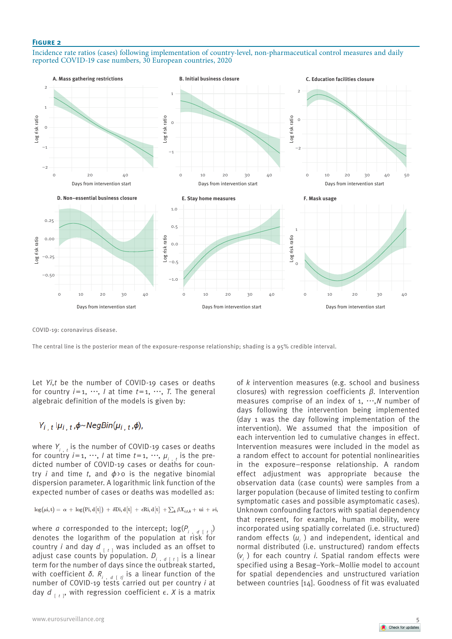Incidence rate ratios (cases) following implementation of country-level, non-pharmaceutical control measures and daily reported COVID-19 case numbers, 30 European countries, 2020



COVID-19: coronavirus disease.

The central line is the posterior mean of the exposure-response relationship; shading is a 95% credible interval.

Let *Yi*,*t* be the number of COVID-19 cases or deaths for country  $i=1, \dots, l$  at time  $t=1, \dots, T$ . The general algebraic definition of the models is given by:

# $Y_{i,t}|\mu_{i,t}$ ,  $\phi \sim \text{NegBin}(\mu_{i,t}, \phi)$ ,

where  $Y_{i,t}$  is the number of COVID-19 cases or deaths for country  $i=1, \dots, l$  at time  $t=1, \dots, \mu_{i-1}$  is the predicted number of COVID-19 cases or deaths for country *i* and time *t*, and  $\phi$ >0 is the negative binomial dispersion parameter. A logarithmic link function of the expected number of cases or deaths was modelled as:

 $\log(\mu i, t) = \alpha + \log(Pi, d[t]) + \delta \text{Di}, d[t] + \epsilon \text{Ri}, d[t] + \sum_k \beta X_{i,t,k} + \text{ui} + \nu i,$ 

where *a* corresponded to the intercept;  $log(P_i)$ ) denotes the logarithm of the population at risk for country *i* and day *d* [ *<sup>t</sup>* ] was included as an offset to adjust case counts by population. *Di* , *<sup>d</sup>* [ *<sup>t</sup>* ] is a linear term for the number of days since the outbreak started, with coefficient *δ. Ri* , *<sup>d</sup>* [ *t]* is a linear function of the number of COVID-19 tests carried out per country *i* at day  $d_{\lceil t \rceil}$ , with regression coefficient  $\epsilon$ . X is a matrix of *k* intervention measures (e.g. school and business closures) with regression coefficients *β.* Intervention measures comprise of an index of 1, ⋯,*N* number of days following the intervention being implemented (day 1 was the day following implementation of the intervention). We assumed that the imposition of each intervention led to cumulative changes in effect. Intervention measures were included in the model as a random effect to account for potential nonlinearities in the exposure–response relationship. A random effect adjustment was appropriate because the observation data (case counts) were samples from a larger population (because of limited testing to confirm symptomatic cases and possible asymptomatic cases). Unknown confounding factors with spatial dependency that represent, for example, human mobility, were incorporated using spatially correlated (i.e. structured) random effects (u<sub>i</sub>) and independent, identical and normal distributed (i.e. unstructured) random effects (*νi* ) for each country *i*. Spatial random effects were specified using a Besag–York–Mollie model to account for spatial dependencies and unstructured variation between countries [14]. Goodness of fit was evaluated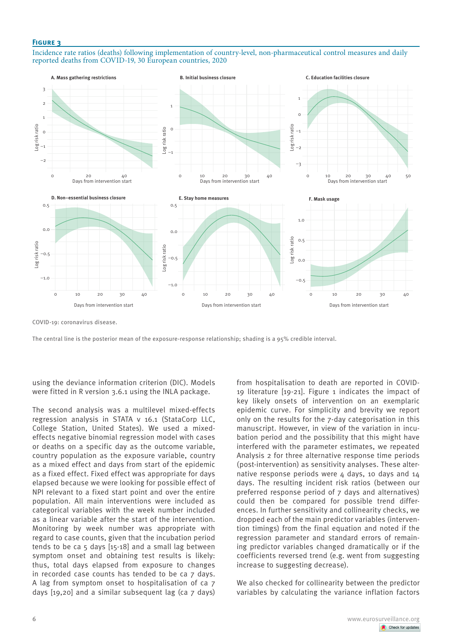Incidence rate ratios (deaths) following implementation of country-level, non-pharmaceutical control measures and daily reported deaths from COVID-19, 30 European countries, 2020



COVID-19: coronavirus disease.

The central line is the posterior mean of the exposure-response relationship; shading is a 95% credible interval.

using the deviance information criterion (DIC). Models were fitted in R version 3.6.1 using the INLA package.

The second analysis was a multilevel mixed-effects regression analysis in STATA v 16.1 (StataCorp LLC, College Station, United States). We used a mixedeffects negative binomial regression model with cases or deaths on a specific day as the outcome variable, country population as the exposure variable, country as a mixed effect and days from start of the epidemic as a fixed effect. Fixed effect was appropriate for days elapsed because we were looking for possible effect of NPI relevant to a fixed start point and over the entire population. All main interventions were included as categorical variables with the week number included as a linear variable after the start of the intervention. Monitoring by week number was appropriate with regard to case counts, given that the incubation period tends to be ca 5 days [15-18] and a small lag between symptom onset and obtaining test results is likely: thus, total days elapsed from exposure to changes in recorded case counts has tended to be ca 7 days. A lag from symptom onset to hospitalisation of ca 7 days [19,20] and a similar subsequent lag (ca 7 days)

from hospitalisation to death are reported in COVID-19 literature [19-21]. Figure 1 indicates the impact of key likely onsets of intervention on an exemplaric epidemic curve. For simplicity and brevity we report only on the results for the 7-day categorisation in this manuscript. However, in view of the variation in incubation period and the possibility that this might have interfered with the parameter estimates, we repeated Analysis 2 for three alternative response time periods (post-intervention) as sensitivity analyses. These alternative response periods were  $4$  days, 10 days and  $14$ days. The resulting incident risk ratios (between our preferred response period of 7 days and alternatives) could then be compared for possible trend differences. In further sensitivity and collinearity checks, we dropped each of the main predictor variables (intervention timings) from the final equation and noted if the regression parameter and standard errors of remaining predictor variables changed dramatically or if the coefficients reversed trend (e.g. went from suggesting increase to suggesting decrease).

We also checked for collinearity between the predictor variables by calculating the variance inflation factors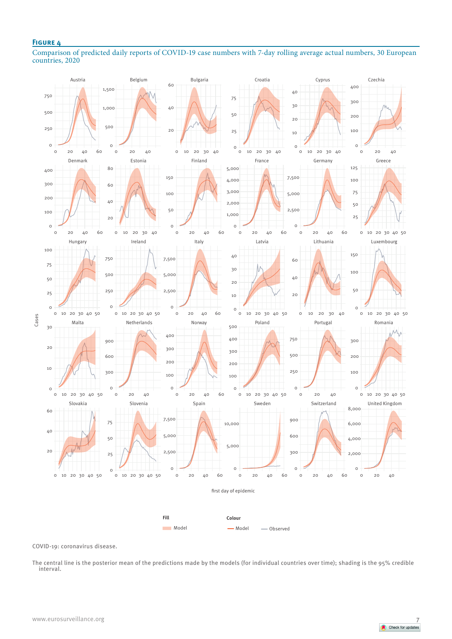Comparison of predicted daily reports of COVID-19 case numbers with 7-day rolling average actual numbers, 30 European countries, 2020



COVID-19: coronavirus disease.

The central line is the posterior mean of the predictions made by the models (for individual countries over time); shading is the 95% credible interval.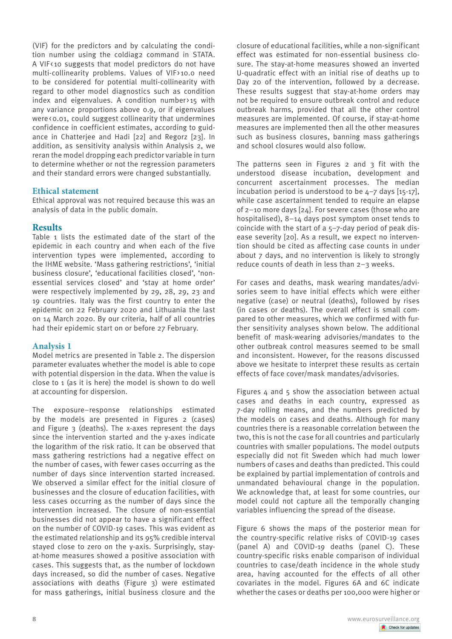(VIF) for the predictors and by calculating the condition number using the coldiag2 command in STATA. A VIF < 10 suggests that model predictors do not have multi-collinearity problems. Values of VIF>10.0 need to be considered for potential multi-collinearity with regard to other model diagnostics such as condition index and eigenvalues. A condition number>15 with any variance proportions above 0.9, or if eigenvalues were<0.01, could suggest collinearity that undermines confidence in coefficient estimates, according to guidance in Chatterjee and Hadi [22] and Regorz [23]. In addition, as sensitivity analysis within Analysis 2, we reran the model dropping each predictor variable in turn to determine whether or not the regression parameters and their standard errors were changed substantially.

## **Ethical statement**

Ethical approval was not required because this was an analysis of data in the public domain.

## **Results**

Table 1 lists the estimated date of the start of the epidemic in each country and when each of the five intervention types were implemented, according to the IHME website. 'Mass gathering restrictions', 'initial business closure', 'educational facilities closed', 'nonessential services closed' and 'stay at home order' were respectively implemented by 29, 28, 29, 23 and 19 countries. Italy was the first country to enter the epidemic on 22 February 2020 and Lithuania the last on 14 March 2020. By our criteria, half of all countries had their epidemic start on or before 27 February.

## **Analysis 1**

Model metrics are presented in Table 2. The dispersion parameter evaluates whether the model is able to cope with potential dispersion in the data. When the value is close to 1 (as it is here) the model is shown to do well at accounting for dispersion.

The exposure–response relationships estimated by the models are presented in Figures 2 (cases) and Figure 3 (deaths). The x-axes represent the days since the intervention started and the y-axes indicate the logarithm of the risk ratio. It can be observed that mass gathering restrictions had a negative effect on the number of cases, with fewer cases occurring as the number of days since intervention started increased. We observed a similar effect for the initial closure of businesses and the closure of education facilities, with less cases occurring as the number of days since the intervention increased. The closure of non-essential businesses did not appear to have a significant effect on the number of COVID-19 cases. This was evident as the estimated relationship and its 95% credible interval stayed close to zero on the y-axis. Surprisingly, stayat-home measures showed a positive association with cases. This suggests that, as the number of lockdown days increased, so did the number of cases. Negative associations with deaths (Figure 3) were estimated for mass gatherings, initial business closure and the closure of educational facilities, while a non-significant effect was estimated for non-essential business closure. The stay-at-home measures showed an inverted U-quadratic effect with an initial rise of deaths up to Day 20 of the intervention, followed by a decrease. These results suggest that stay-at-home orders may not be required to ensure outbreak control and reduce outbreak harms, provided that all the other control measures are implemented. Of course, if stay-at-home measures are implemented then all the other measures such as business closures, banning mass gatherings and school closures would also follow.

The patterns seen in Figures 2 and 3 fit with the understood disease incubation, development and concurrent ascertainment processes. The median incubation period is understood to be 4–7 days [15-17], while case ascertainment tended to require an elapse of 2–10 more days [24]. For severe cases (those who are hospitalised), 8–14 days post symptom onset tends to coincide with the start of a 5–7-day period of peak disease severity [20]. As a result, we expect no intervention should be cited as affecting case counts in under about 7 days, and no intervention is likely to strongly reduce counts of death in less than 2–3 weeks.

For cases and deaths, mask wearing mandates/advisories seem to have initial effects which were either negative (case) or neutral (deaths), followed by rises (in cases or deaths). The overall effect is small compared to other measures, which we confirmed with further sensitivity analyses shown below. The additional benefit of mask-wearing advisories/mandates to the other outbreak control measures seemed to be small and inconsistent. However, for the reasons discussed above we hesitate to interpret these results as certain effects of face cover/mask mandates/advisories.

Figures  $4$  and  $5$  show the association between actual cases and deaths in each country, expressed as 7-day rolling means, and the numbers predicted by the models on cases and deaths. Although for many countries there is a reasonable correlation between the two, this is not the case for all countries and particularly countries with smaller populations. The model outputs especially did not fit Sweden which had much lower numbers of cases and deaths than predicted. This could be explained by partial implementation of controls and unmandated behavioural change in the population. We acknowledge that, at least for some countries, our model could not capture all the temporally changing variables influencing the spread of the disease.

Figure 6 shows the maps of the posterior mean for the country-specific relative risks of COVID-19 cases (panel A) and COVID-19 deaths (panel C). These country-specific risks enable comparison of individual countries to case/death incidence in the whole study area, having accounted for the effects of all other covariates in the model. Figures 6A and 6C indicate whether the cases or deaths per 100,000 were higher or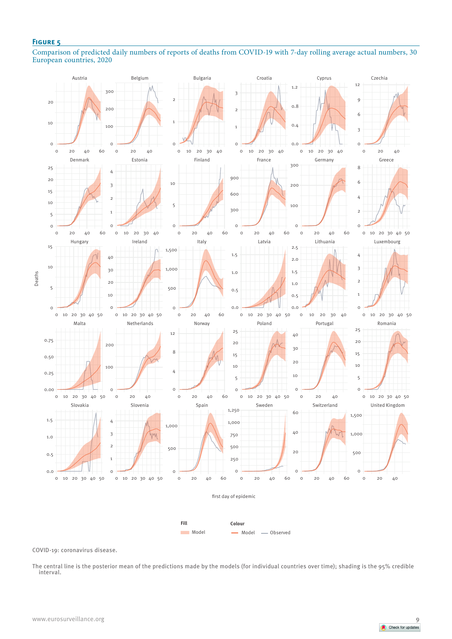Comparison of predicted daily numbers of reports of deaths from COVID-19 with 7-day rolling average actual numbers, 30 European countries, 2020



COVID-19: coronavirus disease.

The central line is the posterior mean of the predictions made by the models (for individual countries over time); shading is the 95% credible interval.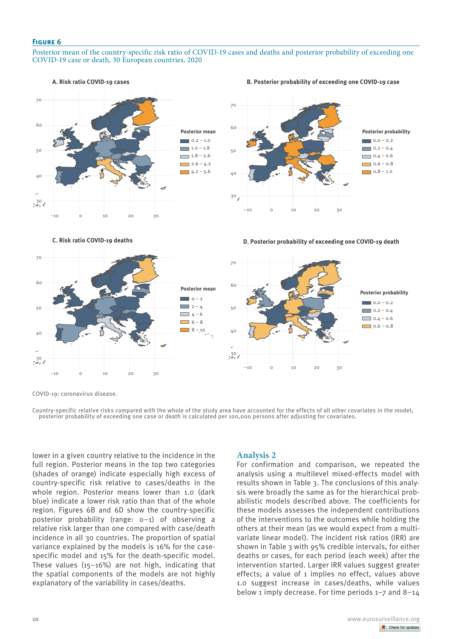#### Posterior mean of the country-specific risk ratio of COVID-19 cases and deaths and posterior probability of exceeding one COVID-19 case or death, 30 European countries, 2020



#### **B. Posterior probability of exceeding one COVID-19 case**



**D. Posterior probability of exceeding one COVID-19 death** 



COVID-19: coronavirus disease.

**C. Risk ratio COVID-19 deaths** 

Country-specific relative risks compared with the whole of the study area have accounted for the effects of all other covariates in the model; posterior probability of exceeding one case or death is calculated per 100,000 persons after adjusting for covariates.

lower in a given country relative to the incidence in the full region. Posterior means in the top two categories (shades of orange) indicate especially high excess of country-specific risk relative to cases/deaths in the whole region. Posterior means lower than 1.0 (dark blue) indicate a lower risk ratio than that of the whole region. Figures 6B and 6D show the country-specific posterior probability (range: 0–1) of observing a relative risk larger than one compared with case/death incidence in all 30 countries. The proportion of spatial variance explained by the models is 16% for the casespecific model and 15% for the death-specific model. These values  $(15-16%)$  are not high, indicating that the spatial components of the models are not highly explanatory of the variability in cases/deaths.

## **Analysis 2**

For confirmation and comparison, we repeated the analysis using a multilevel mixed-effects model with results shown in Table 3. The conclusions of this analysis were broadly the same as for the hierarchical probabilistic models described above. The coefficients for these models assesses the independent contributions of the interventions to the outcomes while holding the others at their mean (as we would expect from a multivariate linear model). The incident risk ratios (IRR) are shown in Table 3 with 95% credible intervals, for either deaths or cases, for each period (each week) after the intervention started. Larger IRR values suggest greater effects; a value of 1 implies no effect, values above 1.0 suggest increase in cases/deaths, while values below 1 imply decrease. For time periods 1–7 and 8–14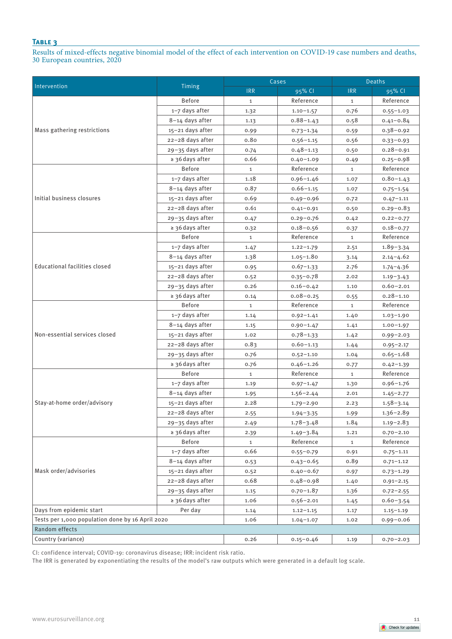Results of mixed-effects negative binomial model of the effect of each intervention on COVID-19 case numbers and deaths, 30 European countries, 2020

|                                                                                                                                                                                                                                       |                      | Cases        |                                                                                                                                                                                                                                                                                                                                                                                                                                                                                                                                          | <b>Deaths</b> |               |
|---------------------------------------------------------------------------------------------------------------------------------------------------------------------------------------------------------------------------------------|----------------------|--------------|------------------------------------------------------------------------------------------------------------------------------------------------------------------------------------------------------------------------------------------------------------------------------------------------------------------------------------------------------------------------------------------------------------------------------------------------------------------------------------------------------------------------------------------|---------------|---------------|
|                                                                                                                                                                                                                                       | Timing               | <b>IRR</b>   | 95% CI                                                                                                                                                                                                                                                                                                                                                                                                                                                                                                                                   | <b>IRR</b>    | 95% CI        |
|                                                                                                                                                                                                                                       | <b>Before</b>        | $\mathbf{1}$ | Reference                                                                                                                                                                                                                                                                                                                                                                                                                                                                                                                                | $\mathbf{1}$  | Reference     |
| Intervention<br>Mass gathering restrictions<br>Initial business closures<br><b>Educational facilities closed</b><br>Non-essential services closed<br>Stay-at-home order/advisory<br>Mask order/advisories<br>Days from epidemic start | 1-7 days after       | 1.32         | $1.10 - 1.57$                                                                                                                                                                                                                                                                                                                                                                                                                                                                                                                            | 0.76          | $0.55 - 1.03$ |
|                                                                                                                                                                                                                                       | 8-14 days after      | 1.13         | $0.88 - 1.43$                                                                                                                                                                                                                                                                                                                                                                                                                                                                                                                            | 0.58          | $0.41 - 0.84$ |
|                                                                                                                                                                                                                                       | 15-21 days after     | 0.99         | $0.73 - 1.34$                                                                                                                                                                                                                                                                                                                                                                                                                                                                                                                            | 0.59          | $0.38 - 0.92$ |
|                                                                                                                                                                                                                                       | 22-28 days after     | 0.80         | $0.56 - 1.15$                                                                                                                                                                                                                                                                                                                                                                                                                                                                                                                            | 0.56          | $0.33 - 0.93$ |
|                                                                                                                                                                                                                                       | 29-35 days after     | 0.74         | $0.48 - 1.13$                                                                                                                                                                                                                                                                                                                                                                                                                                                                                                                            | 0.50          | $0.28 - 0.91$ |
|                                                                                                                                                                                                                                       | $\geq$ 36 days after | 0.66         | $0.40 - 1.09$                                                                                                                                                                                                                                                                                                                                                                                                                                                                                                                            | 0.49          | $0.25 - 0.98$ |
|                                                                                                                                                                                                                                       | <b>Before</b>        | $\mathbf{1}$ | Reference                                                                                                                                                                                                                                                                                                                                                                                                                                                                                                                                | $\mathbf{1}$  | Reference     |
|                                                                                                                                                                                                                                       | 1-7 days after       | 1.18         | $0.96 - 1.46$                                                                                                                                                                                                                                                                                                                                                                                                                                                                                                                            | 1.07          | $0.80 - 1.43$ |
|                                                                                                                                                                                                                                       | 8-14 days after      | 0.87         | $0.66 - 1.15$                                                                                                                                                                                                                                                                                                                                                                                                                                                                                                                            | 1.07          | $0.75 - 1.54$ |
|                                                                                                                                                                                                                                       | 15-21 days after     | 0.69         | $0.49 - 0.96$                                                                                                                                                                                                                                                                                                                                                                                                                                                                                                                            | 0.72          | $0.47 - 1.11$ |
|                                                                                                                                                                                                                                       | 22-28 days after     | 0.61         | $0.41 - 0.91$                                                                                                                                                                                                                                                                                                                                                                                                                                                                                                                            | 0.50          | $0.29 - 0.83$ |
|                                                                                                                                                                                                                                       | 29-35 days after     | 0.47         | $0.29 - 0.76$                                                                                                                                                                                                                                                                                                                                                                                                                                                                                                                            | 0.42          | $0.22 - 0.77$ |
|                                                                                                                                                                                                                                       | ≥ 36 days after      | 0.32         | $0.18 - 0.56$<br>Reference<br>$1.22 - 1.79$<br>$1.05 - 1.80$<br>$0.67 - 1.33$<br>$0.35 - 0.78$<br>$0.16 - 0.42$<br>$0.08 - 0.25$<br>Reference<br>$0.92 - 1.41$<br>$0.90 - 1.47$<br>$0.78 - 1.33$<br>$0.60 - 1.13$<br>$0.52 - 1.10$<br>$0.46 - 1.26$<br>Reference<br>$0.97 - 1.47$<br>$1.56 - 2.44$<br>$1.79 - 2.90$<br>1.94-3.35<br>$1.78 - 3.48$<br>$1.49 - 3.84$<br>Reference<br>$0.55 - 0.79$<br>$0.43 - 0.65$<br>$0.40 - 0.67$<br>$0.48 - 0.98$<br>$0.70 - 1.87$<br>$0.56 - 2.01$<br>$1.12 - 1.15$<br>$1.04 - 1.07$<br>$0.15 - 0.46$ | 0.37          | $0.18 - 0.77$ |
|                                                                                                                                                                                                                                       | <b>Before</b>        | $\mathbf{1}$ |                                                                                                                                                                                                                                                                                                                                                                                                                                                                                                                                          | $\mathbf{1}$  | Reference     |
| Random effects                                                                                                                                                                                                                        | 1-7 days after       | 1.47         |                                                                                                                                                                                                                                                                                                                                                                                                                                                                                                                                          | 2.51          | $1.89 - 3.34$ |
|                                                                                                                                                                                                                                       | 8-14 days after      | 1.38         |                                                                                                                                                                                                                                                                                                                                                                                                                                                                                                                                          | 3.14          | $2.14 - 4.62$ |
|                                                                                                                                                                                                                                       | 15-21 days after     | 0.95         |                                                                                                                                                                                                                                                                                                                                                                                                                                                                                                                                          | 2.76          | $1.74 - 4.36$ |
|                                                                                                                                                                                                                                       | 22-28 days after     | 0.52         |                                                                                                                                                                                                                                                                                                                                                                                                                                                                                                                                          | 2.02          | $1.19 - 3.43$ |
|                                                                                                                                                                                                                                       | 29-35 days after     | 0.26         |                                                                                                                                                                                                                                                                                                                                                                                                                                                                                                                                          | 1.10          | $0.60 - 2.01$ |
|                                                                                                                                                                                                                                       | $\geq$ 36 days after | 0.14         |                                                                                                                                                                                                                                                                                                                                                                                                                                                                                                                                          | 0.55          | $0.28 - 1.10$ |
|                                                                                                                                                                                                                                       | <b>Before</b>        | $\mathbf{1}$ |                                                                                                                                                                                                                                                                                                                                                                                                                                                                                                                                          | $\mathbf{1}$  | Reference     |
|                                                                                                                                                                                                                                       | 1-7 days after       | 1.14         |                                                                                                                                                                                                                                                                                                                                                                                                                                                                                                                                          | 1.40          | $1.03 - 1.90$ |
|                                                                                                                                                                                                                                       | 8-14 days after      | 1.15         |                                                                                                                                                                                                                                                                                                                                                                                                                                                                                                                                          | 1.41          | $1.00 - 1.97$ |
|                                                                                                                                                                                                                                       | 15-21 days after     | 1.02         |                                                                                                                                                                                                                                                                                                                                                                                                                                                                                                                                          | 1.42          | $0.99 - 2.03$ |
|                                                                                                                                                                                                                                       | 22-28 days after     | 0.83         |                                                                                                                                                                                                                                                                                                                                                                                                                                                                                                                                          | 1.44          | $0.95 - 2.17$ |
|                                                                                                                                                                                                                                       | 29-35 days after     | 0.76         |                                                                                                                                                                                                                                                                                                                                                                                                                                                                                                                                          | 1.04          | $0.65 - 1.68$ |
|                                                                                                                                                                                                                                       | ≥ 36 days after      | 0.76         |                                                                                                                                                                                                                                                                                                                                                                                                                                                                                                                                          | 0.77          | $0.42 - 1.39$ |
|                                                                                                                                                                                                                                       | <b>Before</b>        | $\mathbf{1}$ |                                                                                                                                                                                                                                                                                                                                                                                                                                                                                                                                          | $\mathbf{1}$  | Reference     |
|                                                                                                                                                                                                                                       | 1-7 days after       | 1.19         |                                                                                                                                                                                                                                                                                                                                                                                                                                                                                                                                          | 1.30          | $0.96 - 1.76$ |
|                                                                                                                                                                                                                                       | 8-14 days after      | 1.95         |                                                                                                                                                                                                                                                                                                                                                                                                                                                                                                                                          | 2.01          | $1.45 - 2.77$ |
|                                                                                                                                                                                                                                       | 15-21 days after     | 2.28         |                                                                                                                                                                                                                                                                                                                                                                                                                                                                                                                                          | 2.23          | $1.58 - 3.14$ |
|                                                                                                                                                                                                                                       | 22-28 days after     | 2.55         |                                                                                                                                                                                                                                                                                                                                                                                                                                                                                                                                          | 1.99          | $1.36 - 2.89$ |
|                                                                                                                                                                                                                                       | 29-35 days after     | 2.49         |                                                                                                                                                                                                                                                                                                                                                                                                                                                                                                                                          | 1.84          | $1.19 - 2.83$ |
|                                                                                                                                                                                                                                       | ≥ 36 days after      | 2.39         |                                                                                                                                                                                                                                                                                                                                                                                                                                                                                                                                          | 1.21          | $0.70 - 2.10$ |
|                                                                                                                                                                                                                                       | <b>Before</b>        | $\mathbf{1}$ |                                                                                                                                                                                                                                                                                                                                                                                                                                                                                                                                          | $\mathbf{1}$  | Reference     |
|                                                                                                                                                                                                                                       | 1-7 days after       | 0.66         |                                                                                                                                                                                                                                                                                                                                                                                                                                                                                                                                          | 0.91          | $0.75 - 1.11$ |
|                                                                                                                                                                                                                                       | 8-14 days after      | 0.53         |                                                                                                                                                                                                                                                                                                                                                                                                                                                                                                                                          | 0.89          | $0.71 - 1.12$ |
|                                                                                                                                                                                                                                       | 15-21 days after     | 0.52         |                                                                                                                                                                                                                                                                                                                                                                                                                                                                                                                                          | 0.97          | $0.73 - 1.29$ |
|                                                                                                                                                                                                                                       | 22-28 days after     | 0.68         |                                                                                                                                                                                                                                                                                                                                                                                                                                                                                                                                          | 1.40          | $0.91 - 2.15$ |
|                                                                                                                                                                                                                                       | 29-35 days after     | 1.15         |                                                                                                                                                                                                                                                                                                                                                                                                                                                                                                                                          | 1.36          | $0.72 - 2.55$ |
|                                                                                                                                                                                                                                       | ≥ 36 days after      | 1.06         |                                                                                                                                                                                                                                                                                                                                                                                                                                                                                                                                          | 1.45          | $0.60 - 3.54$ |
|                                                                                                                                                                                                                                       | Per day              | 1.14         |                                                                                                                                                                                                                                                                                                                                                                                                                                                                                                                                          | 1.17          | $1.15 - 1.19$ |
| Tests per 1,000 population done by 16 April 2020                                                                                                                                                                                      |                      | 1.06         |                                                                                                                                                                                                                                                                                                                                                                                                                                                                                                                                          | 1.02          | $0.99 - 0.06$ |
|                                                                                                                                                                                                                                       |                      |              |                                                                                                                                                                                                                                                                                                                                                                                                                                                                                                                                          |               |               |
| Country (variance)                                                                                                                                                                                                                    |                      | 0.26         |                                                                                                                                                                                                                                                                                                                                                                                                                                                                                                                                          | 1.19          | $0.70 - 2.03$ |

CI: confidence interval; COVID-19: coronavirus disease; IRR:incident risk ratio.

The IRR is generated by exponentiating the results of the model's raw outputs which were generated in a default log scale.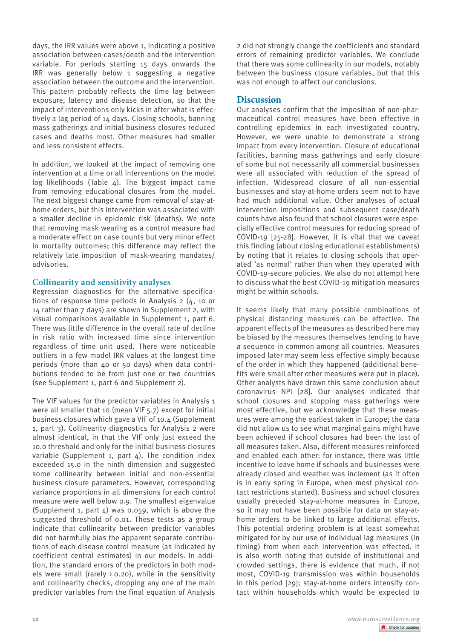days, the IRR values were above 1, indicating a positive association between cases/death and the intervention variable. For periods starting 15 days onwards the IRR was generally below 1 suggesting a negative association between the outcome and the intervention. This pattern probably reflects the time lag between exposure, latency and disease detection, so that the impact of interventions only kicks in after what is effectively a lag period of 14 days. Closing schools, banning mass gatherings and initial business closures reduced cases and deaths most. Other measures had smaller and less consistent effects.

In addition, we looked at the impact of removing one intervention at a time or all interventions on the model log likelihoods (Table  $4$ ). The biggest impact came from removing educational closures from the model. The next biggest change came from removal of stay-athome orders, but this intervention was associated with a smaller decline in epidemic risk (deaths). We note that removing mask wearing as a control measure had a moderate effect on case counts but very minor effect in mortality outcomes; this difference may reflect the relatively late imposition of mask-wearing mandates/ advisories.

## **Collinearity and sensitivity analyses**

Regression diagnostics for the alternative specifications of response time periods in Analysis 2 (4, 10 or 14 rather than 7 days) are shown in Supplement 2, with visual comparisons available in Supplement 1, part 6. There was little difference in the overall rate of decline in risk ratio with increased time since intervention regardless of time unit used. There were noticeable outliers in a few model IRR values at the longest time periods (more than 40 or 50 days) when data contributions tended to be from just one or two countries (see Supplement 1, part 6 and Supplement 2).

The VIF values for the predictor variables in Analysis 1 were all smaller that 10 (mean VIF 5.7) except for initial business closures which gave a VIF of 10.4 (Supplement 1, part 3). Collinearity diagnostics for Analysis 2 were almost identical, in that the VIF only just exceed the 10.0 threshold and only for the initial business closures variable (Supplement 1, part  $\Delta$ ). The condition index exceeded 15.0 in the ninth dimension and suggested some collinearity between initial and non-essential business closure parameters. However, corresponding variance proportions in all dimensions for each control measure were well below 0.9. The smallest eigenvalue (Supplement 1, part  $4$ ) was 0.059, which is above the suggested threshold of 0.01. These tests as a group indicate that collinearity between predictor variables did not harmfully bias the apparent separate contributions of each disease control measure (as indicated by coefficient central estimates) in our models. In addition, the standard errors of the predictors in both models were small (rarely  $> 0.20$ ), while in the sensitivity and collinearity checks, dropping any one of the main predictor variables from the final equation of Analysis

2 did not strongly change the coefficients and standard errors of remaining predictor variables. We conclude that there was some collinearity in our models, notably between the business closure variables, but that this was not enough to affect our conclusions.

# **Discussion**

Our analyses confirm that the imposition of non-pharmaceutical control measures have been effective in controlling epidemics in each investigated country. However, we were unable to demonstrate a strong impact from every intervention. Closure of educational facilities, banning mass gatherings and early closure of some but not necessarily all commercial businesses were all associated with reduction of the spread of infection. Widespread closure of all non-essential businesses and stay-at-home orders seem not to have had much additional value. Other analyses of actual intervention impositions and subsequent case/death counts have also found that school closures were especially effective control measures for reducing spread of COVID-19 [25-28]. However, it is vital that we caveat this finding (about closing educational establishments) by noting that it relates to closing schools that operated 'as normal' rather than when they operated with COVID-19-secure policies. We also do not attempt here to discuss what the best COVID-19 mitigation measures might be within schools.

It seems likely that many possible combinations of physical distancing measures can be effective. The apparent effects of the measures as described here may be biased by the measures themselves tending to have a sequence in common among all countries. Measures imposed later may seem less effective simply because of the order in which they happened (additional benefits were small after other measures were put in place). Other analysts have drawn this same conclusion about coronavirus NPI [28]. Our analyses indicated that school closures and stopping mass gatherings were most effective, but we acknowledge that these measures were among the earliest taken in Europe; the data did not allow us to see what marginal gains might have been achieved if school closures had been the last of all measures taken. Also, different measures reinforced and enabled each other: for instance, there was little incentive to leave home if schools and businesses were already closed and weather was inclement (as it often is in early spring in Europe, when most physical contact restrictions started). Business and school closures usually preceded stay-at-home measures in Europe, so it may not have been possible for data on stay-athome orders to be linked to large additional effects. This potential ordering problem is at least somewhat mitigated for by our use of individual lag measures (in timing) from when each intervention was effected. It is also worth noting that outside of institutional and crowded settings, there is evidence that much, if not most, COVID-19 transmission was within households in this period [29]; stay-at-home orders intensify contact within households which would be expected to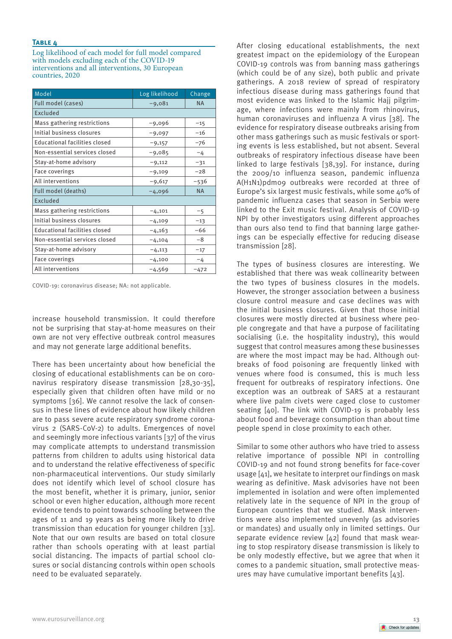Log likelihood of each model for full model compared with models excluding each of the COVID-19 interventions and all interventions, 30 European countries, 2020

| Model                                | Log likelihood | Change    |
|--------------------------------------|----------------|-----------|
| Full model (cases)                   | $-9,081$       | <b>NA</b> |
| Excluded                             |                |           |
| Mass gathering restrictions          | $-9,096$       | $-15$     |
| Initial business closures            | $-9,097$       | $-16$     |
| <b>Educational facilities closed</b> | $-9,157$       | -76       |
| Non-essential services closed        | $-9,085$       | $-4$      |
| Stay-at-home advisory                | $-9,112$       | $-31$     |
| <b>Face coverings</b>                | $-9,109$       | $-28$     |
| All interventions                    | $-9,617$       | -536      |
| Full model (deaths)                  | $-4,096$       | <b>NA</b> |
| <b>Excluded</b>                      |                |           |
| Mass gathering restrictions          | $-4,101$       | $-5$      |
| Initial business closures            | $-4,109$       | $-13$     |
| <b>Educational facilities closed</b> | $-4,163$       | $-66$     |
| Non-essential services closed        | $-4,104$       | -8        |
| Stay-at-home advisory                | $-4,113$       | $-17$     |
| <b>Face coverings</b>                | $-4,100$       | $-4$      |
| All interventions                    | $-4,569$       | $-472$    |

COVID-19: coronavirus disease; NA: not applicable.

increase household transmission. It could therefore not be surprising that stay-at-home measures on their own are not very effective outbreak control measures and may not generate large additional benefits.

There has been uncertainty about how beneficial the closing of educational establishments can be on coronavirus respiratory disease transmission [28,30-35], especially given that children often have mild or no symptoms [36]. We cannot resolve the lack of consensus in these lines of evidence about how likely children are to pass severe acute respiratory syndrome coronavirus 2 (SARS-CoV-2) to adults. Emergences of novel and seemingly more infectious variants [37] of the virus may complicate attempts to understand transmission patterns from children to adults using historical data and to understand the relative effectiveness of specific non-pharmaceutical interventions. Our study similarly does not identify which level of school closure has the most benefit, whether it is primary, junior, senior school or even higher education, although more recent evidence tends to point towards schooling between the ages of 11 and 19 years as being more likely to drive transmission than education for younger children [33]. Note that our own results are based on total closure rather than schools operating with at least partial social distancing. The impacts of partial school closures or social distancing controls within open schools need to be evaluated separately.

After closing educational establishments, the next greatest impact on the epidemiology of the European COVID-19 controls was from banning mass gatherings (which could be of any size), both public and private gatherings. A 2018 review of spread of respiratory infectious disease during mass gatherings found that most evidence was linked to the Islamic Hajj pilgrimage, where infections were mainly from rhinovirus, human coronaviruses and influenza A virus [38]. The evidence for respiratory disease outbreaks arising from other mass gatherings such as music festivals or sporting events is less established, but not absent. Several outbreaks of respiratory infectious disease have been linked to large festivals [38,39]. For instance, during the 2009/10 influenza season, pandemic influenza A(H1N1)pdm09 outbreaks were recorded at three of Europe's six largest music festivals, while some 40% of pandemic influenza cases that season in Serbia were linked to the Exit music festival. Analysis of COVID-19 NPI by other investigators using different approaches than ours also tend to find that banning large gatherings can be especially effective for reducing disease transmission [28].

The types of business closures are interesting. We established that there was weak collinearity between the two types of business closures in the models. However, the stronger association between a business closure control measure and case declines was with the initial business closures. Given that those initial closures were mostly directed at business where people congregate and that have a purpose of facilitating socialising (i.e. the hospitality industry), this would suggest that control measures among these businesses are where the most impact may be had. Although outbreaks of food poisoning are frequently linked with venues where food is consumed, this is much less frequent for outbreaks of respiratory infections. One exception was an outbreak of SARS at a restaurant where live palm civets were caged close to customer seating [40]. The link with COVID-19 is probably less about food and beverage consumption than about time people spend in close proximity to each other.

Similar to some other authors who have tried to assess relative importance of possible NPI in controlling COVID-19 and not found strong benefits for face-cover usage [41], we hesitate to interpret our findings on mask wearing as definitive. Mask advisories have not been implemented in isolation and were often implemented relatively late in the sequence of NPI in the group of European countries that we studied. Mask interventions were also implemented unevenly (as advisories or mandates) and usually only in limited settings. Our separate evidence review [42] found that mask wearing to stop respiratory disease transmission is likely to be only modestly effective, but we agree that when it comes to a pandemic situation, small protective measures may have cumulative important benefits [43].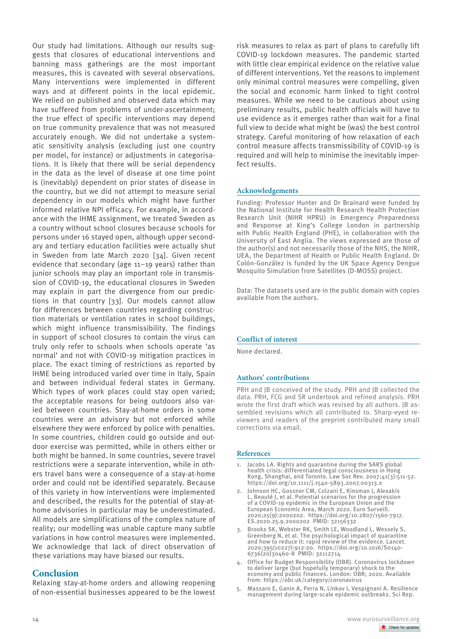Our study had limitations. Although our results suggests that closures of educational interventions and banning mass gatherings are the most important measures, this is caveated with several observations. Many interventions were implemented in different ways and at different points in the local epidemic. We relied on published and observed data which may have suffered from problems of under-ascertainment; the true effect of specific interventions may depend on true community prevalence that was not measured accurately enough. We did not undertake a systematic sensitivity analysis (excluding just one country per model, for instance) or adjustments in categorisations. It is likely that there will be serial dependency in the data as the level of disease at one time point is (inevitably) dependent on prior states of disease in the country, but we did not attempt to measure serial dependency in our models which might have further informed relative NPI efficacy. For example, in accordance with the IHME assignment, we treated Sweden as a country without school closures because schools for persons under 16 stayed open, although upper secondary and tertiary education facilities were actually shut in Sweden from late March 2020 [34]. Given recent evidence that secondary (age 11–19 years) rather than junior schools may play an important role in transmission of COVID-19, the educational closures in Sweden may explain in part the divergence from our predictions in that country [33]. Our models cannot allow for differences between countries regarding construction materials or ventilation rates in school buildings, which might influence transmissibility. The findings in support of school closures to contain the virus can truly only refer to schools when schools operate 'as normal' and not with COVID-19 mitigation practices in place. The exact timing of restrictions as reported by IHME being introduced varied over time in Italy, Spain and between individual federal states in Germany. Which types of work places could stay open varied; the acceptable reasons for being outdoors also varied between countries. Stay-at-home orders in some countries were an advisory but not enforced while elsewhere they were enforced by police with penalties. In some countries, children could go outside and outdoor exercise was permitted, while in others either or both might be banned. In some countries, severe travel restrictions were a separate intervention, while in others travel bans were a consequence of a stay-at-home order and could not be identified separately. Because of this variety in how interventions were implemented and described, the results for the potential of stay-athome advisories in particular may be underestimated. All models are simplifications of the complex nature of reality; our modelling was unable capture many subtle variations in how control measures were implemented. We acknowledge that lack of direct observation of these variations may have biased our results.

# **Conclusion**

Relaxing stay-at-home orders and allowing reopening of non-essential businesses appeared to be the lowest risk measures to relax as part of plans to carefully lift COVID-19 lockdown measures. The pandemic started with little clear empirical evidence on the relative value of different interventions. Yet the reasons to implement only minimal control measures were compelling, given the social and economic harm linked to tight control measures. While we need to be cautious about using preliminary results, public health officials will have to use evidence as it emerges rather than wait for a final full view to decide what might be (was) the best control strategy. Careful monitoring of how relaxation of each control measure affects transmissibility of COVID-19 is required and will help to minimise the inevitably imperfect results.

## **Acknowledgements**

Funding: Professor Hunter and Dr Brainard were funded by the National Institute for Health Research Health Protection Research Unit (NIHR HPRU) in Emergency Preparedness and Response at King's College London in partnership with Public Health England (PHE), in collaboration with the University of East Anglia. The views expressed are those of the author(s) and not necessarily those of the NHS, the NIHR, UEA, the Department of Health or Public Health England. Dr Colón-González is funded by the UK Space Agency Dengue Mosquito Simulation from Satellites (D-MOSS) project.

Data: The datasets used are in the public domain with copies available from the authors.

## **Conflict of interest**

None declared.

## **Authors' contributions**

PRH and JB conceived of the study. PRH and JB collected the data. PRH, FCG and SR undertook and refined analysis. PRH wrote the first draft which was revised by all authors. IB assembled revisions which all contributed to. Sharp-eyed reviewers and readers of the preprint contributed many small corrections via email.

#### **References**

- 1. Jacobs LA. Rights and quarantine during the SARS global health crisis: differentiated legal consciousness in Hong Kong, Shanghai, and Toronto. Law Soc Rev. 2007;41(3):511-52. https://doi.org/10.1111/j.1540-5893.2007.00313.x
- 2. Johnson HC, Gossner CM, Colzani E, Kinsman J, Alexakis L, Beauté J, et al. Potential scenarios for the progression of a COVID-19 epidemic in the European Union and the European Economic Area, March 2020. Euro Surveill. 2020;25(9):2000202. https://doi.org/10.2807/1560-7917. ES.2020.25.9.2000202 PMID: 32156332
- 3. Brooks SK, Webster RK, Smith LE, Woodland L, Wessely S, Greenberg N, et al. The psychological impact of quarantine and how to reduce it: rapid review of the evidence. Lancet. 2020;395(10227):912-20. https://doi.org/10.1016/S0140- 6736(20)30460-8 PMID: 32112714
- 4. Office for Budget Responsibility (OBR). Coronavirus lockdown to deliver large (but hopefully temporary) shock to the economy and public finances. London: OBR; 2020. Available from: https://obr.uk/category/coronavirus
- 5. Massaro E, Ganin A, Perra N, Linkov I, Vespignani A. Resilience management during large-scale epidemic outbreaks. Sci Rep.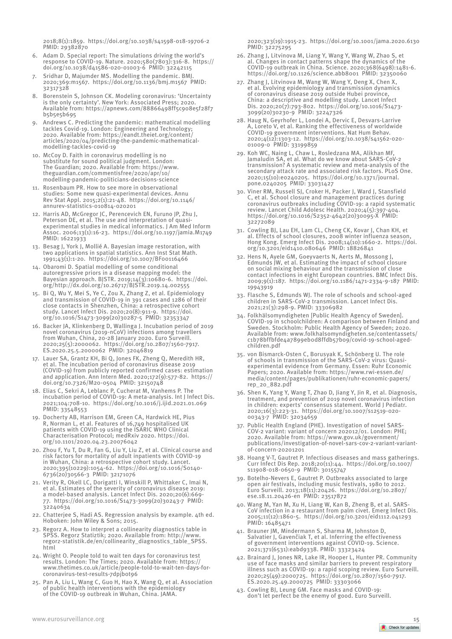- 6. Adam D. Special report: The simulations driving the world's response to COVID-19. Nature. 2020;580(7803):316-8. https:// doi.org/10.1038/d41586-020-01003-6 PMID: 32242115
- Sridhar D, Majumder MS. Modelling the pandemic. BMJ 2020;369:m1567. https://doi.org/10.1136/bmj.m1567 PMID: 32317328
- 8. Borenstein S, Johnson CK. Modeling coronavirus: 'Uncertainty is the only certainty'. New York: Associated Press; 2020. Available from: https://apnews.com/88866498ff5c908e5f28f7 b5b5e5b695
- 9. Andrews C. Predicting the pandemic: mathematical modelling tackles Covid-19. London: Engineering and Technology; 2020. Available from: https://eandt.theiet.org/content/ articles/2020/04/predicting-the-pandemic-mathematicalmodelling-tackles-covid-19
- 10. McCoy D. Faith in coronavirus modelling is no substitute for sound political judgment. London: The Guardian; 2020. Available from: https://www. theguardian.com/commentisfree/2020/apr/10/ modelling-pandemic-politicians-decisions-science
- 11. Rosenbaum PR. How to see more in observational studies: Some new quasi-experimental devices. Annu Rev Stat Appl. 2015;2(1):21-48. https://doi.org/10.1146/ annurev-statistics-010814-020201
- 12. Harris AD, McGregor JC, Perencevich EN, Furuno JP, Zhu J, Peterson DE, et al. The use and interpretation of quasiexperimental studies in medical informatics. J Am Med Inform Assoc. 2006;13(1):16-23. https://doi.org/10.1197/jamia.M1749 PMID: 16221933
- 13. Besag J, York J, Mollié A. Bayesian image restoration, with two applications in spatial statistics. Ann Inst Stat Math. 1991;43(1):1-20. https://doi.org/10.1007/BF00116466
- 14. Obaromi D. Spatial modelling of some conditional autoregressive priors in a disease mapping model: the Bayesian approach. BJSTR. 2019;14(3):10680-6. https://doi. org/http://dx.doi.org/10.26717/BJSTR.2019.14.002555
- 15. Bi Q, Wu Y, Mei S, Ye C, Zou X, Zhang Z, et al. Epidemiology and transmission of COVID-19 in 391 cases and 1286 of their close contacts in Shenzhen, China: a retrospective cohort study. Lancet Infect Dis. 2020;20(8):911-9. https://doi. org/10.1016/S1473-3099(20)30287-5 PMID: 32353347
- 16. Backer JA, Klinkenberg D, Wallinga J. Incubation period of 2019 novel coronavirus (2019-nCoV) infections among travellers from Wuhan, China, 20-28 January 2020. Euro Surveill. 2020;25(5):2000062. https://doi.org/10.2807/1560-7917. ES.2020.25.5.2000062 PMID: 32046819
- 17. Lauer SA, Grantz KH, Bi Q, Jones FK, Zheng Q, Meredith HR, et al. The incubation period of coronavirus disease 2019 (COVID-19) from publicly reported confirmed cases: estimation and application. Ann Intern Med. 2020;172(9):577-82. https:// doi.org/10.7326/M20-0504 PMID: 32150748
- 18. Elias C, Sekri A, Leblanc P, Cucherat M, Vanhems P. The incubation period of COVID-19: A meta-analysis. Int J Infect Dis. 2021;104:708-10. https://doi.org/10.1016/j.ijid.2021.01.069 PMID: 33548553
- 19. Docherty AB, Harrison EM, Green CA, Hardwick HE, Pius R, Norman L, et al. Features of 16,749 hospitalised UK patients with COVID-19 using the ISARIC WHO Clinical Characterisation Protocol; medRxiv 2020. https://doi. org/10.1101/2020.04.23.20076042
- 20. Zhou F, Yu T, Du R, Fan G, Liu Y, Liu Z, et al. Clinical course and risk factors for mortality of adult inpatients with COVID-19 in Wuhan, China: a retrospective cohort study. Lancet. 2020;395(10229):1054-62. https://doi.org/10.1016/S0140- 6736(20)30566-3 PMID: 32171076
- 21. Verity R, Okell LC, Dorigatti I, Winskill P, Whittaker C, Imai N, et al. Estimates of the severity of coronavirus disease 2019: a model-based analysis. Lancet Infect Dis. 2020;20(6):669- 77. https://doi.org/10.1016/S1473-3099(20)30243-7 PMID: 32240634
- 22. Chatterjee S, Hadi AS. Regression analysis by example. 4th ed. Hoboken: John Wiley & Sons; 2015.
- 23. Regorz A. How to interpret a collinearity diagnostics table in SPSS. Regorz Statiztik; 2020. Available from: http://www. regorz-statistik.de/en/collinearity\_diagnostics\_table\_SPSS. html
- 24. Wright O. People told to wait ten days for coronavirus test results. London: The Times; 2020. Available from: https:// www.thetimes.co.uk/article/people-told-to-wait-ten-days-forcoronavirus-test-results-7dpjb0t96
- 25. Pan A, Liu L, Wang C, Guo H, Hao X, Wang Q, et al. Association of public health interventions with the epidemiology of the COVID-19 outbreak in Wuhan, China. JAMA.

2020;323(19):1915-23. https://doi.org/10.1001/jama.2020.6130 PMID: 32275295

- 26. Zhang J, Litvinova M, Liang Y, Wang Y, Wang W, Zhao S, et al. Changes in contact patterns shape the dynamics of the COVID-19 outbreak in China. Science. 2020;368(6498):1481-6. https://doi.org/10.1126/science.abb8001 PMID: 32350060
- 27. Zhang J, Litvinova M, Wang W, Wang Y, Deng X, Chen X, et al. Evolving epidemiology and transmission dynamics of coronavirus disease 2019 outside Hubei province, China: a descriptive and modelling study. Lancet Infect Dis. 2020;20(7):793-802. https://doi.org/10.1016/S1473- 3099(20)30230-9 PMID: 32247326
- 28. Haug N, Geyrhofer L, Londei A, Dervic E, Desvars-Larrive A, Loreto V, et al. Ranking the effectiveness of worldwide COVID-19 government interventions. Nat Hum Behav. 2020;4(12):1303-12. https://doi.org/10.1038/s41562-020- 01009-0 PMID: 33199859
- 29. Koh WC, Naing L, Chaw L, Rosledzana MA, Alikhan MF, Jamaludin SA, et al. What do we know about SARS-CoV-2 transmission? A systematic review and meta-analysis of the secondary attack rate and associated risk factors. PLoS One. 2020;15(10):e0240205. https://doi.org/10.1371/journal. pone.0240205 PMID: 33031427
- 30. Viner RM, Russell SJ, Croker H, Packer J, Ward J, Stansfield C, et al. School closure and management practices during coronavirus outbreaks including COVID-19: a rapid systematic review. Lancet Child Adolesc Health. 2020;4(5):397-404. https://doi.org/10.1016/S2352-4642(20)30095-X PMID: 32272089
- 31. Cowling BJ, Lau EH, Lam CL, Cheng CK, Kovar J, Chan KH, et al. Effects of school closures, 2008 winter influenza season, Hong Kong. Emerg Infect Dis. 2008;14(10):1660-2. https://doi. org/10.3201/eid1410.080646 PMID: 18826841
- 32. Hens N, Ayele GM, Goeyvaerts N, Aerts M, Mossong J, Edmunds JW, et al. Estimating the impact of school closure on social mixing behaviour and the transmission of close contact infections in eight European countries. BMC Infect Dis. 2009;9(1):187. https://doi.org/10.1186/1471-2334-9-187 PMID: 19943919
- 33. Flasche S, Edmunds WJ. The role of schools and school-aged children in SARS-CoV-2 transmission. Lancet Infect Dis. 2021;21(3):298-9. PMID: 33306982
- 34. Folkhälsomyndigheten [Public Health Agency of Sweden]. COVID-19 in schoolchildren: A comparison between Finland and Sweden. Stockholm: Public Health Agency of Sweden; 2020. Available from: www.folkhalsomyndigheten.se/contentassets/ c1b78bffbfde4a7899eb0d8ffdb57b09/covid-19-school-agedchildren.pdf
- 35. von Bismarck-Osten C, Borusyak K, Schönberg U. The role of schools in transmission of the SARS-CoV-2 virus: Quasiexperimental evidence from Germany. Essen: Ruhr Economic Papers; 2020. Available from: https://www.rwi-essen.de/ media/content/pages/publikationen/ruhr-economic-papers/ rep\_20\_882.pdf
- 36. Shen K, Yang Y, Wang T, Zhao D, Jiang Y, Jin R, et al. Diagnosis, treatment, and prevention of 2019 novel coronavirus infection in children: experts' consensus statement. World J Pediatr. 2020;16(3):223-31. https://doi.org/10.1007/s12519-020- 00343-7 PMID: 32034659
- 37. Public Health England (PHE). Investigation of novel SARS-COV-2 variant: variant of concern 202012/01. London: PHE; 2020. Available from: https://www.gov.uk/government/ publications/investigation-of-novel-sars-cov-2-variant-variantof-concern-20201201
- 38. Hoang V-T, Gautret P. Infectious diseases and mass gatherings. Curr Infect Dis Rep. 2018;20(11):44. https://doi.org/10.1007/ s11908-018-0650-9 PMID: 30155747
- 39. Botelho-Nevers E, Gautret P. Outbreaks associated to large open air festivals, including music festivals, 1980 to 2012. Euro Surveill. 2013;18(11):20426. https://doi.org/10.2807/ ese.18.11.20426-en PMID: 23517872
- 40. Wang M, Yan M, Xu H, Liang W, Kan B, Zheng B, et al. SARS-CoV infection in a restaurant from palm civet. Emerg Infect Dis. 2005;11(12):1860-5. https://doi.org/10.3201/eid1112.041293 PMID: 16485471
- 41. Brauner JM, Mindermann S, Sharma M, Johnston D, Salvatier J, Gavenčiak T, et al. Inferring the effectiveness of government interventions against COVID-19. Science. 2021;371(6531):eabd9338. PMID: 33323424
- 42. Brainard J, Jones NR, Lake IR, Hooper L, Hunter PR. Community use of face masks and similar barriers to prevent respiratory illness such as COVID-19: a rapid scoping review. Euro Surveill. 2020;25(49):2000725. https://doi.org/10.2807/1560-7917. ES.2020.25.49.2000725 PMID: 33303066
- 43. Cowling BJ, Leung GM. Face masks and COVID-19: don't let perfect be the enemy of good. Euro Surveill.